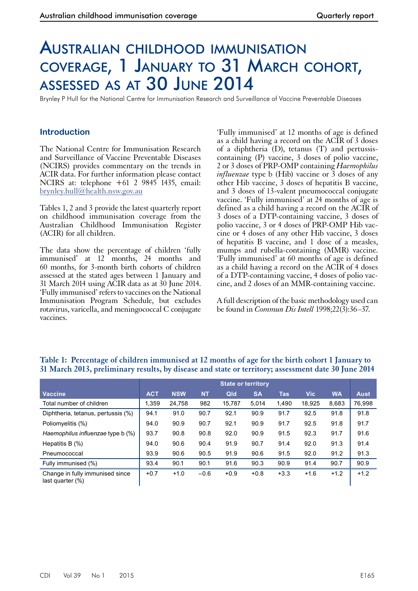# Australian childhood immunisation coverage, 1 January to 31 March cohort, assessed as at 30 June 2014

Brynley P Hull for the National Centre for Immunisation Research and Surveillance of Vaccine Preventable Diseases

## **Introduction**

The National Centre for Immunisation Research and Surveillance of Vaccine Preventable Diseases (NCIRS) provides commentary on the trends in ACIR data. For further information please contact NCIRS at: telephone +61 2 9845 1435, email: [brynley.hull@health.nsw.gov.au](mailto:brynley.hull@health.nsw.gov.au)

Tables 1, 2 and 3 provide the latest quarterly report on childhood immunisation coverage from the Australian Childhood Immunisation Register (ACIR) for all children.

The data show the percentage of children 'fully immunised' at 12 months, 24 months and 60 months, for 3-month birth cohorts of children assessed at the stated ages between 1 January and 31 March 2014 using ACIR data as at 30 June 2014. 'Fully immunised' refers to vaccines on the National Immunisation Program Schedule, but excludes rotavirus, varicella, and meningococcal C conjugate vaccines.

'Fully immunised' at 12 months of age is defined as a child having a record on the ACIR of 3 doses of a diphtheria (D), tetanus (T) and pertussiscontaining (P) vaccine, 3 doses of polio vaccine, 2 or 3 doses of PRP-OMP containing *Haemophilus influenzae* type b (Hib) vaccine or 3 doses of any other Hib vaccine, 3 doses of hepatitis B vaccine, and 3 doses of 13-valent pneumococcal conjugate vaccine. 'Fully immunised' at 24 months of age is defined as a child having a record on the ACIR of 3 doses of a DTP-containing vaccine, 3 doses of polio vaccine, 3 or 4 doses of PRP-OMP Hib vaccine or 4 doses of any other Hib vaccine, 3 doses of hepatitis B vaccine, and 1 dose of a measles, mumps and rubella-containing (MMR) vaccine. 'Fully immunised' at 60 months of age is defined as a child having a record on the ACIR of 4 doses of a DTP-containing vaccine, 4 doses of polio vaccine, and 2 doses of an MMR-containing vaccine.

A full description of the basic methodology used can be found in *Commun Dis Intell* 1998;22(3):36–37.

|                                                     | <b>State or territory</b> |            |           |        |           |        |            |           |             |
|-----------------------------------------------------|---------------------------|------------|-----------|--------|-----------|--------|------------|-----------|-------------|
| <b>Vaccine</b>                                      | <b>ACT</b>                | <b>NSW</b> | <b>NT</b> | Qld    | <b>SA</b> | Tas    | <b>Vic</b> | <b>WA</b> | <b>Aust</b> |
| Total number of children                            | 1,359                     | 24,758     | 982       | 15.787 | 5,014     | 1,490  | 18,925     | 8,683     | 76,998      |
| Diphtheria, tetanus, pertussis (%)                  | 94.1                      | 91.0       | 90.7      | 92.1   | 90.9      | 91.7   | 92.5       | 91.8      | 91.8        |
| Poliomyelitis (%)                                   | 94.0                      | 90.9       | 90.7      | 92.1   | 90.9      | 91.7   | 92.5       | 91.8      | 91.7        |
| Haemophilus influenzae type b (%)                   | 93.7                      | 90.8       | 90.8      | 92.0   | 90.9      | 91.5   | 92.3       | 91.7      | 91.6        |
| Hepatitis B $(%)$                                   | 94.0                      | 90.6       | 90.4      | 91.9   | 90.7      | 91.4   | 92.0       | 91.3      | 91.4        |
| Pneumococcal                                        | 93.9                      | 90.6       | 90.5      | 91.9   | 90.6      | 91.5   | 92.0       | 91.2      | 91.3        |
| Fully immunised (%)                                 | 93.4                      | 90.1       | 90.1      | 91.6   | 90.3      | 90.9   | 91.4       | 90.7      | 90.9        |
| Change in fully immunised since<br>last quarter (%) | $+0.7$                    | $+1.0$     | $-0.6$    | $+0.9$ | $+0.8$    | $+3.3$ | $+1.6$     | $+1.2$    | $+1.2$      |

#### **Table 1: Percentage of children immunised at 12 months of age for the birth cohort 1 January to 31 March 2013, preliminary results, by disease and state or territory; assessment date 30 June 2014**